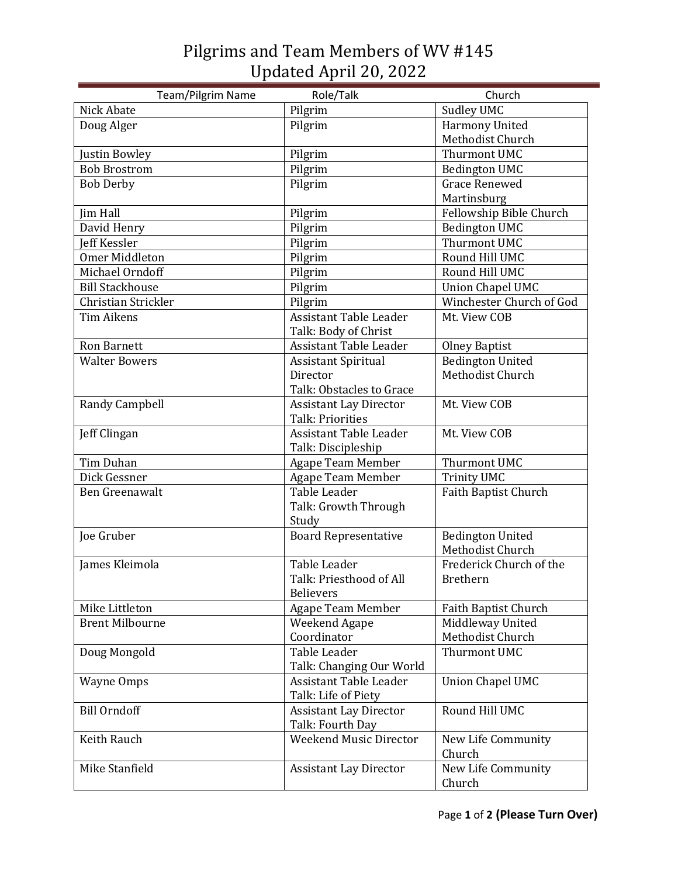## Pilgrims and Team Members of WV #145 Updated April 20, 2022

| Team/Pilgrim Name      | Role/Talk                     | Church                   |
|------------------------|-------------------------------|--------------------------|
| Nick Abate             | Pilgrim                       | <b>Sudley UMC</b>        |
| Doug Alger             | Pilgrim                       | <b>Harmony United</b>    |
|                        |                               | Methodist Church         |
| Justin Bowley          | Pilgrim                       | Thurmont UMC             |
| <b>Bob Brostrom</b>    | Pilgrim                       | <b>Bedington UMC</b>     |
| <b>Bob Derby</b>       | Pilgrim                       | <b>Grace Renewed</b>     |
|                        |                               | Martinsburg              |
| Jim Hall               | Pilgrim                       | Fellowship Bible Church  |
| David Henry            | Pilgrim                       | <b>Bedington UMC</b>     |
| <b>Jeff Kessler</b>    | Pilgrim                       | Thurmont UMC             |
| Omer Middleton         | Pilgrim                       | Round Hill UMC           |
| Michael Orndoff        | Pilgrim                       | Round Hill UMC           |
| <b>Bill Stackhouse</b> | Pilgrim                       | <b>Union Chapel UMC</b>  |
| Christian Strickler    | Pilgrim                       | Winchester Church of God |
| <b>Tim Aikens</b>      | Assistant Table Leader        | Mt. View COB             |
|                        | Talk: Body of Christ          |                          |
| <b>Ron Barnett</b>     | <b>Assistant Table Leader</b> | <b>Olney Baptist</b>     |
| <b>Walter Bowers</b>   | <b>Assistant Spiritual</b>    | <b>Bedington United</b>  |
|                        | Director                      | Methodist Church         |
|                        | Talk: Obstacles to Grace      |                          |
| Randy Campbell         | <b>Assistant Lay Director</b> | Mt. View COB             |
|                        | <b>Talk: Priorities</b>       |                          |
| Jeff Clingan           | <b>Assistant Table Leader</b> | Mt. View COB             |
|                        | Talk: Discipleship            |                          |
| Tim Duhan              | <b>Agape Team Member</b>      | Thurmont UMC             |
| Dick Gessner           | <b>Agape Team Member</b>      | <b>Trinity UMC</b>       |
| Ben Greenawalt         | Table Leader                  | Faith Baptist Church     |
|                        | Talk: Growth Through          |                          |
|                        | Study                         |                          |
| Joe Gruber             | <b>Board Representative</b>   | <b>Bedington United</b>  |
|                        |                               | Methodist Church         |
| James Kleimola         | Table Leader                  | Frederick Church of the  |
|                        | Talk: Priesthood of All       | Brethern                 |
|                        | <b>Believers</b>              |                          |
| Mike Littleton         | <b>Agape Team Member</b>      | Faith Baptist Church     |
| <b>Brent Milbourne</b> | <b>Weekend Agape</b>          | Middleway United         |
|                        | Coordinator                   | Methodist Church         |
| Doug Mongold           | Table Leader                  | Thurmont UMC             |
|                        | Talk: Changing Our World      |                          |
| <b>Wayne Omps</b>      | <b>Assistant Table Leader</b> | <b>Union Chapel UMC</b>  |
|                        | Talk: Life of Piety           |                          |
| <b>Bill Orndoff</b>    | <b>Assistant Lay Director</b> | Round Hill UMC           |
|                        | Talk: Fourth Day              |                          |
| Keith Rauch            | <b>Weekend Music Director</b> | New Life Community       |
|                        |                               | Church                   |
| Mike Stanfield         | <b>Assistant Lay Director</b> | New Life Community       |
|                        |                               | Church                   |